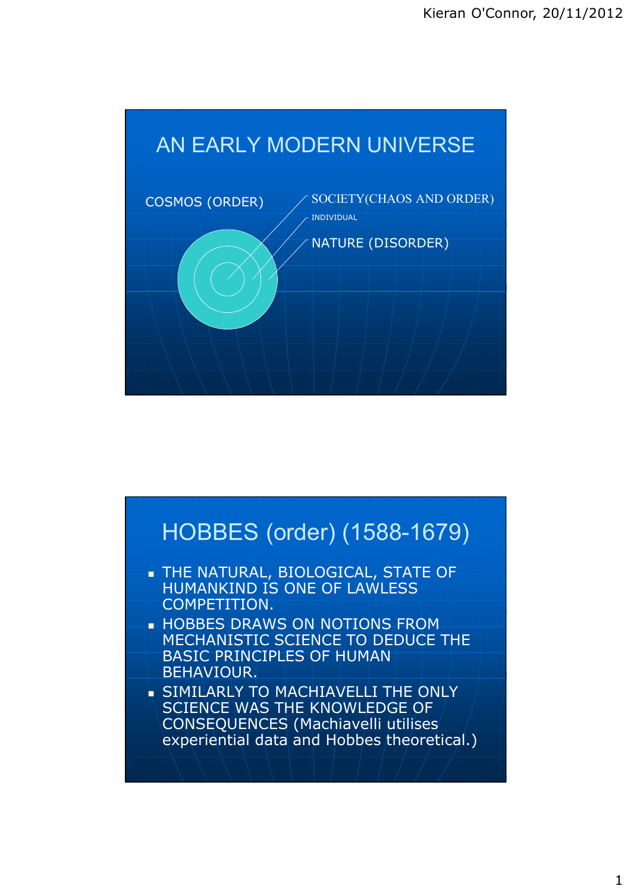

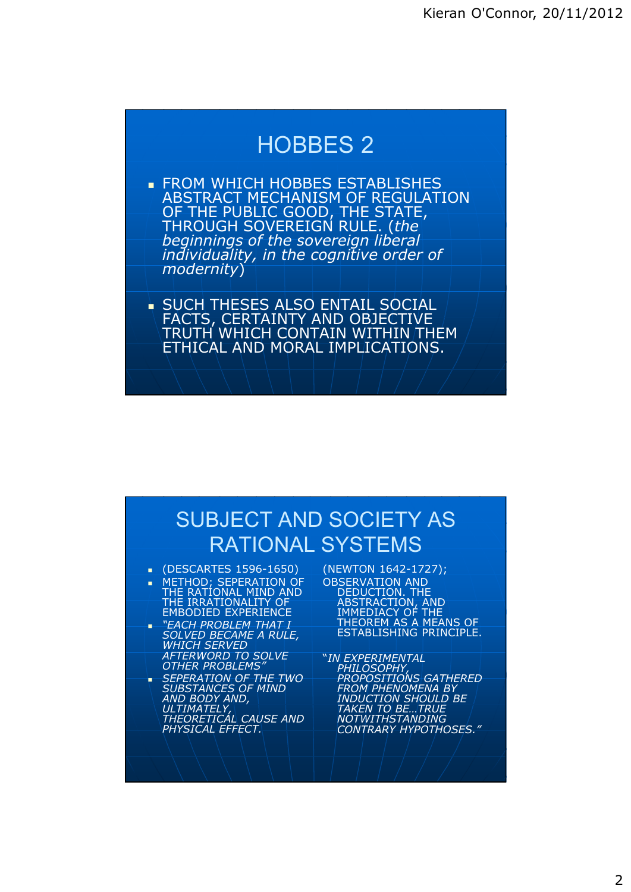### HOBBES 2

- **FROM WHICH HOBBES ESTABLISHES** ABSTRACT MECHANISM OF REGULATION OF THE PUBLIC GOOD, THE STATE, THROUGH SOVEREIGN RULE. (*the beginnings of the sovereign liberal individuality, in the cognitive order of modernity*)
- **SUCH THESES ALSO ENTAIL SOCIAL** FACTS, CERTAINTY AND OBJECTIVE TRUTH WHICH CONTAIN WITHIN THEM ETHICAL AND MORAL IMPLICATIONS.

#### SUBJECT AND SOCIETY AS RATIONAL SYSTEMS

- (DESCARTES 1596-1650)
- METHOD; SEPERATION OF THE RATIONAL MIND AND THE IRRATIONALITY OF EMBODIED EXPERIENCE
- *"EACH PROBLEM THAT I SOLVED BECAME A RULE, WHICH SERVED AFTERWORD TO SOLVE OTHER PROBLEMS"*
- *SEPERATION OF THE TWO SUBSTANCES OF MIND AND BODY AND, ULTIMATELY, THEORETICAL CAUSE AND PHYSICAL EFFECT.*
- (NEWTON 1642-1727); OBSERVATION AND DEDUCTION. THE ABSTRACTION, AND IMMEDIACY OF THE THEOREM AS A MEANS OF ESTABLISHING PRINCIPLE.
- "*IN EXPERIMENTAL PHILOSOPHY, PROPOSITIONS GATHERED FROM PHENOMENA BY INDUCTION SHOULD BE TAKEN TO BE…TRUE NOTWITHSTANDING CONTRARY HYPOTHOSES."*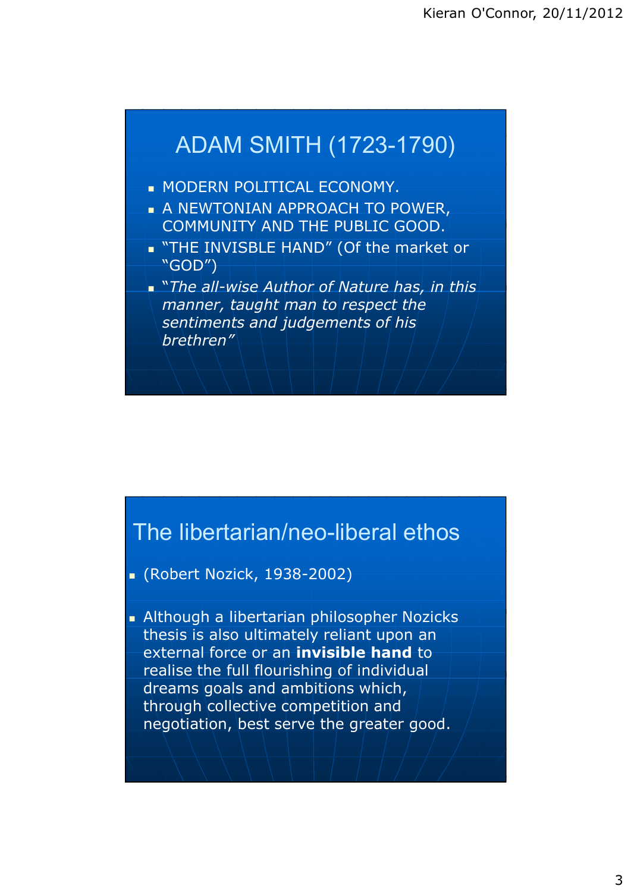## ADAM SMITH (1723-1790) **MODERN POLITICAL ECONOMY. A NEWTONIAN APPROACH TO POWER,** COMMUNITY AND THE PUBLIC GOOD. THE INVISBLE HAND" (Of the market or "GOD") "*The all-wise Author of Nature has, in this manner, taught man to respect the sentiments and judgements of his brethren"*

### The libertarian/neo-liberal ethos

- (Robert Nozick, 1938-2002)
- **Although a libertarian philosopher Nozicks** thesis is also ultimately reliant upon an external force or an **invisible hand** to realise the full flourishing of individual dreams goals and ambitions which, through collective competition and negotiation, best serve the greater good.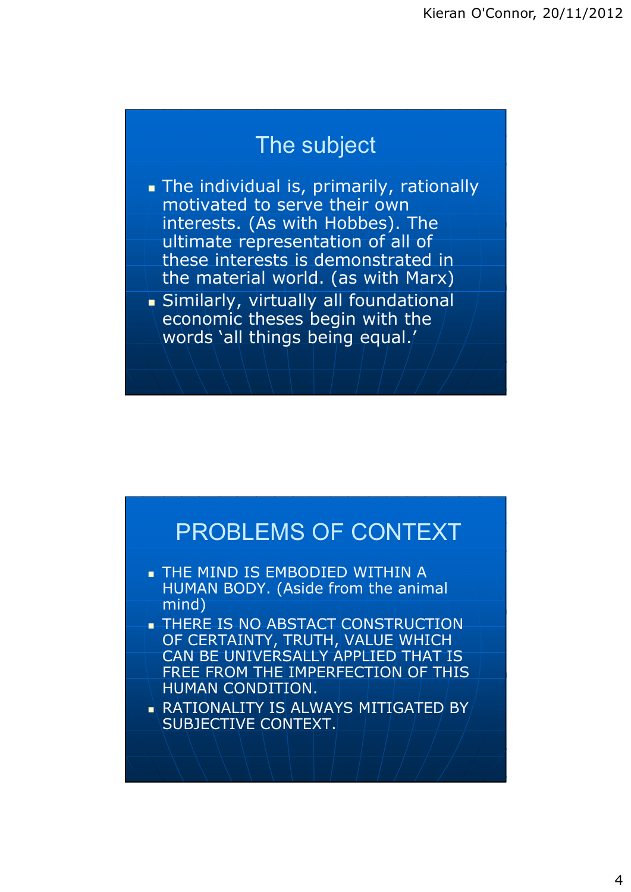#### The subject

- The individual is, primarily, rationally motivated to serve their own interests. (As with Hobbes). The ultimate representation of all of these interests is demonstrated in the material world. (as with Marx)
- Similarly, virtually all foundational economic theses begin with the words 'all things being equal.'